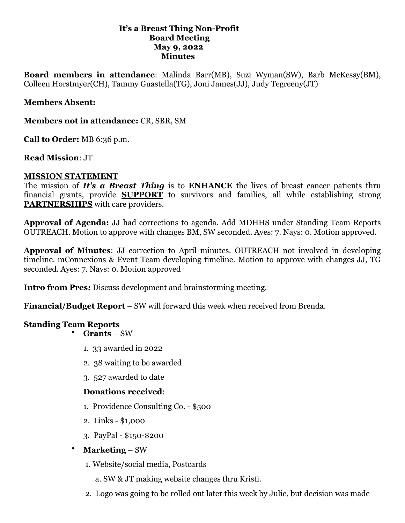#### **It's a Breast Thing Non-Profit Board Meeting May 9, 2022 Minutes**

**Board members in attendance**: Malinda Barr(MB), Suzi Wyman(SW), Barb McKessy(BM), Colleen Horstmyer(CH), Tammy Guastella(TG), Joni James(JJ), Judy Tegreeny(JT)

### **Members Absent:**

**Members not in attendance:** CR, SBR, SM

**Call to Order:** MB 6:36 p.m.

**Read Mission**: JT

#### **MISSION STATEMENT**

The mission of *It's a Breast Thing* is to **ENHANCE** the lives of breast cancer patients thru financial grants, provide **SUPPORT** to survivors and families, all while establishing strong **PARTNERSHIPS** with care providers.

**Approval of Agenda:** JJ had corrections to agenda. Add MDHHS under Standing Team Reports OUTREACH. Motion to approve with changes BM, SW seconded. Ayes: 7. Nays: 0. Motion approved.

**Approval of Minutes**: JJ correction to April minutes. OUTREACH not involved in developing timeline. mConnexions & Event Team developing timeline. Motion to approve with changes JJ, TG seconded. Ayes: 7. Nays: 0. Motion approved

**Intro from Pres:** Discuss development and brainstorming meeting.

**Financial/Budget Report** – SW will forward this week when received from Brenda.

### **Standing Team Reports**

• **Grants** – SW

- 1. 33 awarded in 2022
- 2. 38 waiting to be awarded
- 3. 527 awarded to date

### **Donations received**:

- 1. Providence Consulting Co. \$500
- 2. Links \$1,000
- 3. PayPal \$150-\$200
- **Marketing**  SW
	- 1. Website/social media, Postcards
		- a. SW & JT making website changes thru Kristi.
	- 2. Logo was going to be rolled out later this week by Julie, but decision was made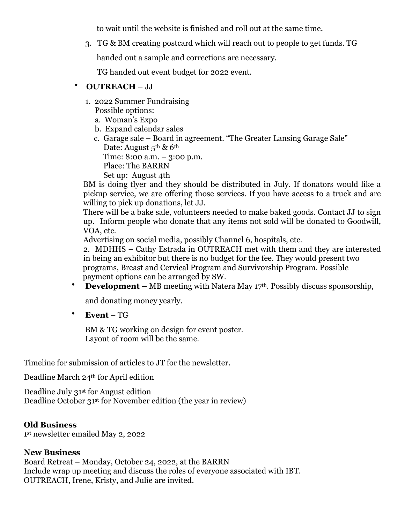to wait until the website is finished and roll out at the same time.

3. TG & BM creating postcard which will reach out to people to get funds. TG

handed out a sample and corrections are necessary.

TG handed out event budget for 2022 event.

## • **OUTREACH** – JJ

- 1. 2022 Summer Fundraising Possible options:
	- a. Woman's Expo
	- b. Expand calendar sales
	- c. Garage sale Board in agreement. "The Greater Lansing Garage Sale" Date: August 5<sup>th</sup> & 6<sup>th</sup>

Time: 8:00 a.m. – 3:00 p.m.

Place: The BARRN

Set up: August 4th

BM is doing flyer and they should be distributed in July. If donators would like a pickup service, we are offering those services. If you have access to a truck and are willing to pick up donations, let JJ.

There will be a bake sale, volunteers needed to make baked goods. Contact JJ to sign up. Inform people who donate that any items not sold will be donated to Goodwill, VOA, etc.

Advertising on social media, possibly Channel 6, hospitals, etc.

2. MDHHS – Cathy Estrada in OUTREACH met with them and they are interested in being an exhibitor but there is no budget for the fee. They would present two programs, Breast and Cervical Program and Survivorship Program. Possible payment options can be arranged by SW.

• **Development** – MB meeting with Natera May 17<sup>th</sup>. Possibly discuss sponsorship,

and donating money yearly.

• **Event** – TG

BM & TG working on design for event poster. Layout of room will be the same.

Timeline for submission of articles to JT for the newsletter.

Deadline March 24th for April edition

Deadline July 31st for August edition Deadline October 31st for November edition (the year in review)

## **Old Business**

1st newsletter emailed May 2, 2022

## **New Business**

Board Retreat – Monday, October 24, 2022, at the BARRN Include wrap up meeting and discuss the roles of everyone associated with IBT. OUTREACH, Irene, Kristy, and Julie are invited.